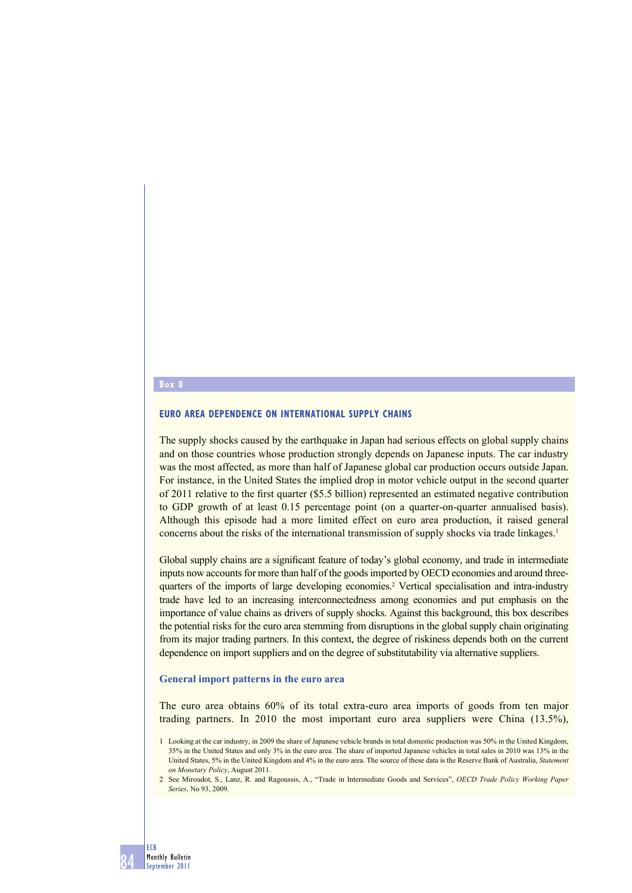#### **Box 8**

**84**

**ECB Monthly Bulletin September 2011**

## **EURO AREA DEPENDENCE ON INTERNATIONAL SUPPLY CHAINS**

The supply shocks caused by the earthquake in Japan had serious effects on global supply chains and on those countries whose production strongly depends on Japanese inputs. The car industry was the most affected, as more than half of Japanese global car production occurs outside Japan. For instance, in the United States the implied drop in motor vehicle output in the second quarter of 2011 relative to the first quarter (\$5.5 billion) represented an estimated negative contribution to GDP growth of at least 0.15 percentage point (on a quarter-on-quarter annualised basis). Although this episode had a more limited effect on euro area production, it raised general concerns about the risks of the international transmission of supply shocks via trade linkages.<sup>1</sup>

Global supply chains are a significant feature of today's global economy, and trade in intermediate inputs now accounts for more than half of the goods imported by OECD economies and around threequarters of the imports of large developing economies.<sup>2</sup> Vertical specialisation and intra-industry trade have led to an increasing interconnectedness among economies and put emphasis on the importance of value chains as drivers of supply shocks. Against this background, this box describes the potential risks for the euro area stemming from disruptions in the global supply chain originating from its major trading partners. In this context, the degree of riskiness depends both on the current dependence on import suppliers and on the degree of substitutability via alternative suppliers.

#### **General import patterns in the euro area**

The euro area obtains 60% of its total extra-euro area imports of goods from ten major trading partners. In 2010 the most important euro area suppliers were China (13.5%),

<sup>1</sup> Looking at the car industry, in 2009 the share of Japanese vehicle brands in total domestic production was 50% in the United Kingdom, 35% in the United States and only 3% in the euro area. The share of imported Japanese vehicles in total sales in 2010 was 13% in the United States, 5% in the United Kingdom and 4% in the euro area. The source of these data is the Reserve Bank of Australia, *Statement on Monetary Policy*, August 2011.

<sup>2</sup> See Miroudot, S., Lanz, R. and Ragoussis, A., "Trade in Intermediate Goods and Services", *OECD Trade Policy Working Paper Series*, No 93, 2009.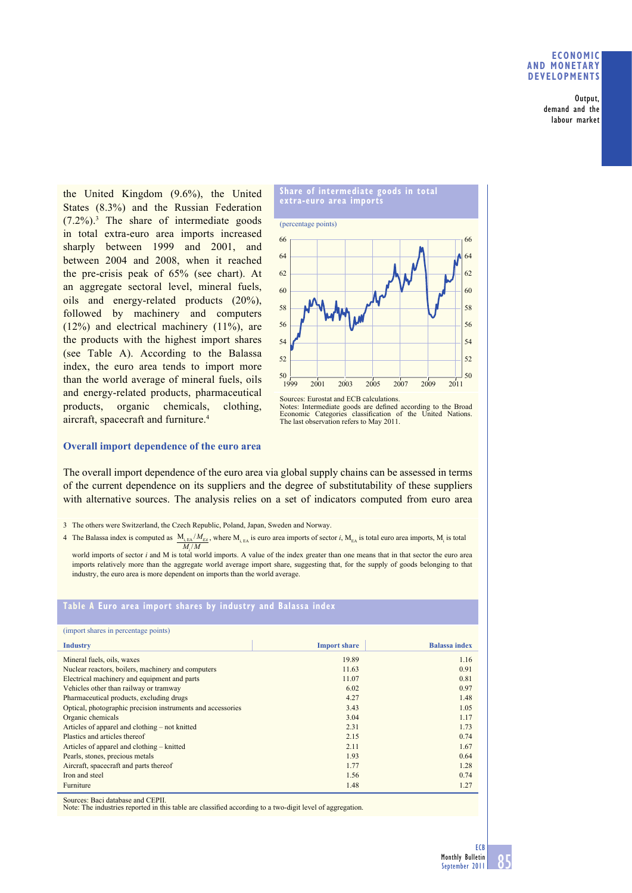## **ECONOMIC AND MONETARY DEVELOPMENTS**

**Output, demand and the labour market**

the United Kingdom (9.6%), the United States (8.3%) and the Russian Federation  $(7.2\%)$ .<sup>3</sup> The share of intermediate goods in total extra-euro area imports increased sharply between 1999 and 2001, and between 2004 and 2008, when it reached the pre-crisis peak of 65% (see chart). At an aggregate sectoral level, mineral fuels, oils and energy-related products (20%), followed by machinery and computers (12%) and electrical machinery (11%), are the products with the highest import shares (see Table A). According to the Balassa index, the euro area tends to import more than the world average of mineral fuels, oils and energy-related products, pharmaceutical products, organic chemicals, clothing, aircraft, spacecraft and furniture.4



Notes: Intermediate goods are defined according to the Broad Economic Categories classification of the United Nations. The last observation refers to May 2011.

#### **Overall import dependence of the euro area**

The overall import dependence of the euro area via global supply chains can be assessed in terms of the current dependence on its suppliers and the degree of substitutability of these suppliers with alternative sources. The analysis relies on a set of indicators computed from euro area

3 The others were Switzerland, the Czech Republic, Poland, Japan, Sweden and Norway.

4 The Balassa index is computed as  $M_{i, E\text{A}}/M_{\text{E1}}$ , where  $M_{i, E\text{A}}$  is euro area imports of sector *i*,  $M_{E\text{A}}$  is total euro area imports,  $M_i$  is total  $M_i/M$ 

world imports of sector *i* and M is total world imports. A value of the index greater than one means that in that sector the euro area imports relatively more than the aggregate world average import share, suggesting that, for the supply of goods belonging to that industry, the euro area is more dependent on imports than the world average.

# **Table A Euro area import shares by industry and Balassa index**

| (import shares in percentage points)                        |                     |                      |
|-------------------------------------------------------------|---------------------|----------------------|
| <b>Industry</b>                                             | <b>Import share</b> | <b>Balassa index</b> |
| Mineral fuels, oils, waxes                                  | 19.89               | 1.16                 |
| Nuclear reactors, boilers, machinery and computers          | 11.63               | 0.91                 |
| Electrical machinery and equipment and parts                | 11.07               | 0.81                 |
| Vehicles other than railway or tramway                      | 6.02                | 0.97                 |
| Pharmaceutical products, excluding drugs                    | 4.27                | 1.48                 |
| Optical, photographic precision instruments and accessories | 3.43                | 1.05                 |
| Organic chemicals                                           | 3.04                | 1.17                 |
| Articles of apparel and clothing – not knitted              | 2.31                | 1.73                 |
| Plastics and articles thereof                               | 2.15                | 0.74                 |
| Articles of apparel and clothing – knitted                  | 2.11                | 1.67                 |
| Pearls, stones, precious metals                             | 1.93                | 0.64                 |
| Aircraft, spacecraft and parts thereof                      | 1.77                | 1.28                 |
| Iron and steel                                              | 1.56                | 0.74                 |
| Furniture                                                   | 1.48                | 1.27                 |

Sources: Baci database and CEPII.

Note: The industries reported in this table are classified according to a two-digit level of aggregation.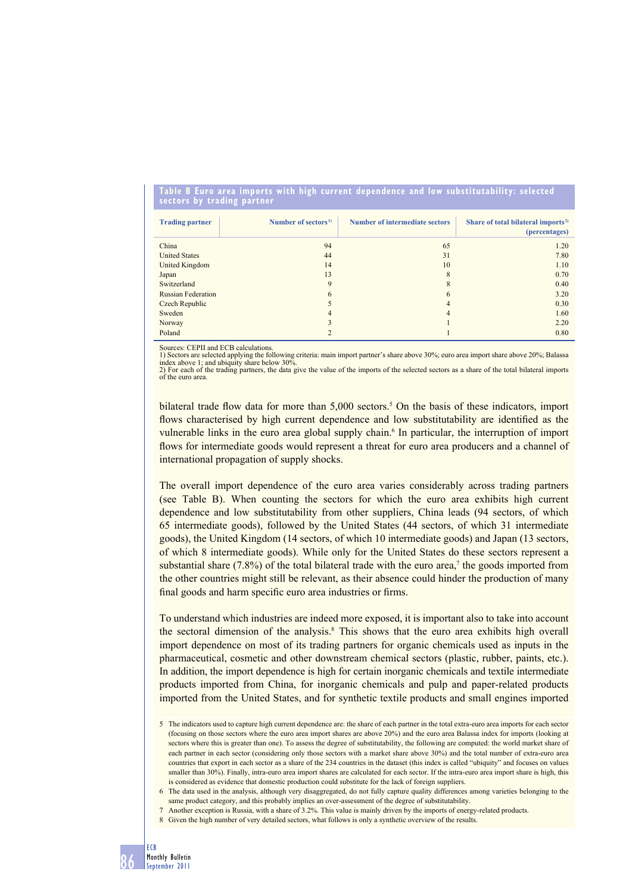#### **Table B Euro area imports with high current dependence and low substitutability: selected sectors by trading partner**

| <b>Trading partner</b>    | Number of sectors <sup>1)</sup> | <b>Number of intermediate sectors</b> | Share of total bilateral imports <sup>2)</sup><br>(percentages) |
|---------------------------|---------------------------------|---------------------------------------|-----------------------------------------------------------------|
| China                     | 94                              | 65                                    | 1.20                                                            |
| <b>United States</b>      | 44                              | 31                                    | 7.80                                                            |
| United Kingdom            | 14                              | 10                                    | 1.10                                                            |
| Japan                     | 13                              | 8                                     | 0.70                                                            |
| Switzerland               | 9                               | 8                                     | 0.40                                                            |
| <b>Russian Federation</b> | 6                               | 6                                     | 3.20                                                            |
| Czech Republic            |                                 | $\overline{4}$                        | 0.30                                                            |
| Sweden                    | 4                               | $\overline{4}$                        | 1.60                                                            |
| Norway                    |                                 |                                       | 2.20                                                            |
| Poland                    |                                 |                                       | 0.80                                                            |

Sources: CEPII and ECB calculations.

1) Sectors are selected applying the following criteria: main import partner's share above 30%; euro area import share above 20%; Balassa<br>index above 1; and ubiquity share below 30%.<br>2) For each of the trading partners, th of the euro area.

bilateral trade flow data for more than  $5,000$  sectors.<sup>5</sup> On the basis of these indicators, import flows characterised by high current dependence and low substitutability are identified as the vulnerable links in the euro area global supply chain.<sup>6</sup> In particular, the interruption of import flows for intermediate goods would represent a threat for euro area producers and a channel of international propagation of supply shocks.

The overall import dependence of the euro area varies considerably across trading partners (see Table B). When counting the sectors for which the euro area exhibits high current dependence and low substitutability from other suppliers, China leads (94 sectors, of which 65 intermediate goods), followed by the United States (44 sectors, of which 31 intermediate goods), the United Kingdom (14 sectors, of which 10 intermediate goods) and Japan (13 sectors, of which 8 intermediate goods). While only for the United States do these sectors represent a substantial share  $(7.8\%)$  of the total bilateral trade with the euro area,<sup>7</sup> the goods imported from the other countries might still be relevant, as their absence could hinder the production of many final goods and harm specific euro area industries or firms.

To understand which industries are indeed more exposed, it is important also to take into account the sectoral dimension of the analysis.<sup>8</sup> This shows that the euro area exhibits high overall import dependence on most of its trading partners for organic chemicals used as inputs in the pharmaceutical, cosmetic and other downstream chemical sectors (plastic, rubber, paints, etc.). In addition, the import dependence is high for certain inorganic chemicals and textile intermediate products imported from China, for inorganic chemicals and pulp and paper-related products imported from the United States, and for synthetic textile products and small engines imported

<sup>5</sup> The indicators used to capture high current dependence are: the share of each partner in the total extra-euro area imports for each sector (focusing on those sectors where the euro area import shares are above 20%) and the euro area Balassa index for imports (looking at sectors where this is greater than one). To assess the degree of substitutability, the following are computed: the world market share of each partner in each sector (considering only those sectors with a market share above 30%) and the total number of extra-euro area countries that export in each sector as a share of the 234 countries in the dataset (this index is called "ubiquity" and focuses on values smaller than 30%). Finally, intra-euro area import shares are calculated for each sector. If the intra-euro area import share is high, this is considered as evidence that domestic production could substitute for the lack of foreign suppliers.

<sup>6</sup> The data used in the analysis, although very disaggregated, do not fully capture quality differences among varieties belonging to the same product category, and this probably implies an over-assessment of the degree of substitutability.

<sup>7</sup> Another exception is Russia, with a share of 3.2%. This value is mainly driven by the imports of energy-related products.

<sup>8</sup> Given the high number of very detailed sectors, what follows is only a synthetic overview of the results.